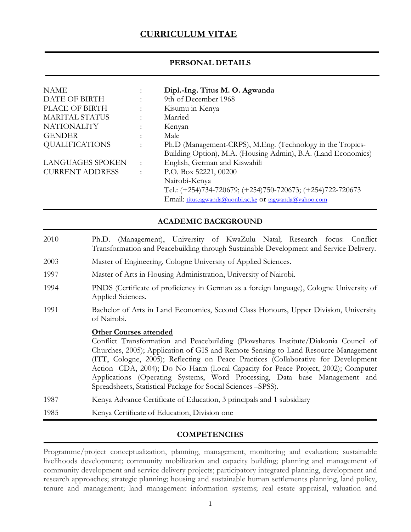# **CURRICULUM VITAE**

#### **PERSONAL DETAILS**

| <b>NAME</b>             | $\bullet$            | Dipl.-Ing. Titus M. O. Agwanda                                |
|-------------------------|----------------------|---------------------------------------------------------------|
| DATE OF BIRTH           |                      | 9th of December 1968                                          |
| PLACE OF BIRTH          | $\ddot{\phantom{a}}$ | Kisumu in Kenya                                               |
| MARITAL STATUS          | ٠                    | Married                                                       |
| <b>NATIONALITY</b>      | ÷                    | Kenyan                                                        |
| <b>GENDER</b>           | ٠                    | Male                                                          |
| <b>QUALIFICATIONS</b>   | $\ddot{\cdot}$       | Ph.D (Management-CRPS), M.Eng. (Technology in the Tropics-    |
|                         |                      | Building Option), M.A. (Housing Admin), B.A. (Land Economics) |
| <b>LANGUAGES SPOKEN</b> | $\ddot{\phantom{a}}$ | English, German and Kiswahili                                 |
| <b>CURRENT ADDRESS</b>  | $\ddot{\cdot}$       | P.O. Box 52221, 00200                                         |
|                         |                      | Nairobi-Kenya                                                 |
|                         |                      | Tel.: (+254)734-720679; (+254)750-720673; (+254)722-720673    |
|                         |                      | Email: titus.agwanda@uonbi.ac.ke Or tagwanda@yahoo.com        |

**ACADEMIC BACKGROUND**

- 2010 Ph.D. (Management), University of KwaZulu Natal; Research focus: Conflict Transformation and Peacebuilding through Sustainable Development and Service Delivery.
- 2003 Master of Engineering, Cologne University of Applied Sciences.
- 1997 Master of Arts in Housing Administration, University of Nairobi.
- 1994 PNDS (Certificate of proficiency in German as a foreign language), Cologne University of Applied Sciences.
- 1991 Bachelor of Arts in Land Economics, Second Class Honours, Upper Division, University of Nairobi.

#### **Other Courses attended**

Conflict Transformation and Peacebuilding (Plowshares Institute/Diakonia Council of Churches, 2005); Application of GIS and Remote Sensing to Land Resource Management (ITT, Cologne, 2005); Reflecting on Peace Practices (Collaborative for Development Action -CDA, 2004); Do No Harm (Local Capacity for Peace Project, 2002); Computer Applications (Operating Systems, Word Processing, Data base Management and Spreadsheets, Statistical Package for Social Sciences –SPSS).

- 1987 Kenya Advance Certificate of Education, 3 principals and 1 subsidiary
- 1985 Kenya Certificate of Education, Division one

#### **COMPETENCIES**

Programme/project conceptualization, planning, management, monitoring and evaluation; sustainable livelihoods development; community mobilization and capacity building; planning and management of community development and service delivery projects; participatory integrated planning, development and research approaches; strategic planning; housing and sustainable human settlements planning, land policy, tenure and management; land management information systems; real estate appraisal, valuation and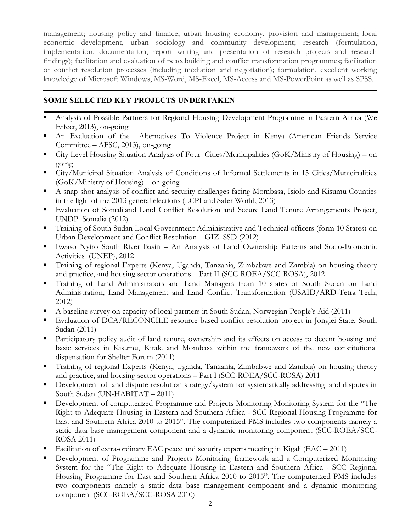management; housing policy and finance; urban housing economy, provision and management; local economic development, urban sociology and community development; research (formulation, implementation, documentation, report writing and presentation of research projects and research findings); facilitation and evaluation of peacebuilding and conflict transformation programmes; facilitation of conflict resolution processes (including mediation and negotiation); formulation, excellent working knowledge of Microsoft Windows, MS-Word, MS-Excel, MS-Access and MS-PowerPoint as well as SPSS.

# **SOME SELECTED KEY PROJECTS UNDERTAKEN**

- ß Analysis of Possible Partners for Regional Housing Development Programme in Eastern Africa (We Effect, 2013), on-going
- ß An Evaluation of the Alternatives To Violence Project in Kenya (American Friends Service Committee – AFSC, 2013), on-going
- ß City Level Housing Situation Analysis of Four Cities/Municipalities (GoK/Ministry of Housing) on going
- ß City/Municipal Situation Analysis of Conditions of Informal Settlements in 15 Cities/Municipalities (GoK/Ministry of Housing) – on going
- ß A snap shot analysis of conflict and security challenges facing Mombasa, Isiolo and Kisumu Counties in the light of the 2013 general elections (LCPI and Safer World, 2013)
- ß Evaluation of Somaliland Land Conflict Resolution and Secure Land Tenure Arrangements Project, UNDP Somalia (2012)
- **Training of South Sudan Local Government Administrative and Technical officers (form 10 States) on** Urban Development and Conflict Resolution – GIZ–SSD (2012)
- ß Ewaso Nyiro South River Basin An Analysis of Land Ownership Patterns and Socio-Economic Activities (UNEP), 2012
- ß Training of regional Experts (Kenya, Uganda, Tanzania, Zimbabwe and Zambia) on housing theory and practice, and housing sector operations – Part II (SCC-ROEA/SCC-ROSA), 2012
- ß Training of Land Administrators and Land Managers from 10 states of South Sudan on Land Administration, Land Management and Land Conflict Transformation (USAID/ARD-Tetra Tech, 2012)
- ß A baseline survey on capacity of local partners in South Sudan, Norwegian People's Aid (2011)
- ß Evaluation of DCA/RECONCILE resource based conflict resolution project in Jonglei State, South Sudan (2011)
- ß Participatory policy audit of land tenure, ownership and its effects on access to decent housing and basic services in Kisumu, Kitale and Mombasa within the framework of the new constitutional dispensation for Shelter Forum (2011)
- ß Training of regional Experts (Kenya, Uganda, Tanzania, Zimbabwe and Zambia) on housing theory and practice, and housing sector operations – Part I (SCC-ROEA/SCC-ROSA) 2011
- ß Development of land dispute resolution strategy/system for systematically addressing land disputes in South Sudan (UN-HABITAT – 2011)
- ß Development of computerized Programme and Projects Monitoring Monitoring System for the "The Right to Adequate Housing in Eastern and Southern Africa - SCC Regional Housing Programme for East and Southern Africa 2010 to 2015". The computerized PMS includes two components namely a static data base management component and a dynamic monitoring component (SCC-ROEA/SCC-ROSA 2011)
- ß Facilitation of extra-ordinary EAC peace and security experts meeting in Kigali (EAC 2011)
- ß Development of Programme and Projects Monitoring framework and a Computerized Monitoring System for the "The Right to Adequate Housing in Eastern and Southern Africa - SCC Regional Housing Programme for East and Southern Africa 2010 to 2015". The computerized PMS includes two components namely a static data base management component and a dynamic monitoring component (SCC-ROEA/SCC-ROSA 2010)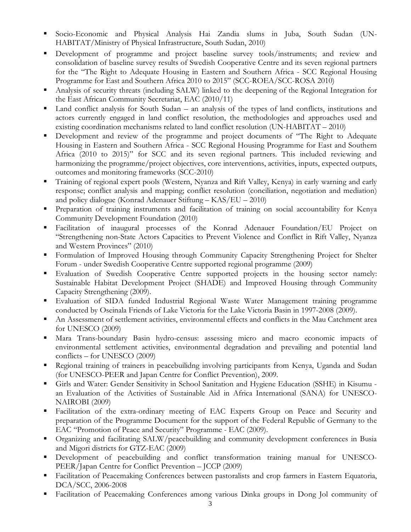- ß Socio-Economic and Physical Analysis Hai Zandia slums in Juba, South Sudan (UN-HABITAT/Ministry of Physical Infrastructure, South Sudan, 2010)
- Development of programme and project baseline survey tools/instruments; and review and consolidation of baseline survey results of Swedish Cooperative Centre and its seven regional partners for the "The Right to Adequate Housing in Eastern and Southern Africa - SCC Regional Housing Programme for East and Southern Africa 2010 to 2015" (SCC-ROEA/SCC-ROSA 2010)
- ß Analysis of security threats (including SALW) linked to the deepening of the Regional Integration for the East African Community Secretariat, EAC (2010/11)
- Land conflict analysis for South Sudan an analysis of the types of land conflicts, institutions and actors currently engaged in land conflict resolution, the methodologies and approaches used and existing coordination mechanisms related to land conflict resolution (UN-HABITAT – 2010)
- ß Development and review of the programme and project documents of "The Right to Adequate Housing in Eastern and Southern Africa - SCC Regional Housing Programme for East and Southern Africa (2010 to 2015)" for SCC and its seven regional partners. This included reviewing and harmonizing the programme/project objectives, core interventions, activities, inputs, expected outputs, outcomes and monitoring frameworks (SCC-2010)
- ß Training of regional expert pools (Western, Nyanza and Rift Valley, Kenya) in early warning and early response; conflict analysis and mapping; conflict resolution (conciliation, negotiation and mediation) and policy dialogue (Konrad Adenauer Stiftung – KAS/EU – 2010)
- ß Preparation of training instruments and facilitation of training on social accountability for Kenya Community Development Foundation (2010)
- ß Facilitation of inaugural processes of the Konrad Adenauer Foundation/EU Project on "Strengthening non-State Actors Capacities to Prevent Violence and Conflict in Rift Valley, Nyanza and Western Provinces" (2010)
- ß Formulation of Improved Housing through Community Capacity Strengthening Project for Shelter Forum - under Swedish Cooperative Centre supported regional programme (2009)
- ß Evaluation of Swedish Cooperative Centre supported projects in the housing sector namely: Sustainable Habitat Development Project (SHADE) and Improved Housing through Community Capacity Strengthening (2009).
- ß Evaluation of SIDA funded Industrial Regional Waste Water Management training programme conducted by Oseinala Friends of Lake Victoria for the Lake Victoria Basin in 1997-2008 (2009).
- ß An Assessment of settlement activities, environmental effects and conflicts in the Mau Catchment area for UNESCO (2009)
- ß Mara Trans-boundary Basin hydro-census: assessing micro and macro economic impacts of environmental settlement activities, environmental degradation and prevailing and potential land conflicts – for UNESCO (2009)
- ß Regional training of trainers in peacebuilidng involving participants from Kenya, Uganda and Sudan (for UNESCO-PEER and Japan Centre for Conflict Prevention), 2009.
- ß Girls and Water: Gender Sensitivity in School Sanitation and Hygiene Education (SSHE) in Kisumu an Evaluation of the Activities of Sustainable Aid in Africa International (SANA) for UNESCO-NAIROBI (2009)
- ß Facilitation of the extra-ordinary meeting of EAC Experts Group on Peace and Security and preparation of the Programme Document for the support of the Federal Republic of Germany to the EAC "Promotion of Peace and Security" Programme - EAC (2009).
- ß Organizing and facilitating SALW/peacebuilding and community development conferences in Busia and Migori districts for GTZ-EAC (2009)
- ß Development of peacebuilding and conflict transformation training manual for UNESCO-PEER/Japan Centre for Conflict Prevention – JCCP (2009)
- **Facilitation of Peacemaking Conferences between pastoralists and crop farmers in Eastern Equatoria,** DCA/SCC, 2006-2008
- ß Facilitation of Peacemaking Conferences among various Dinka groups in Dong Jol community of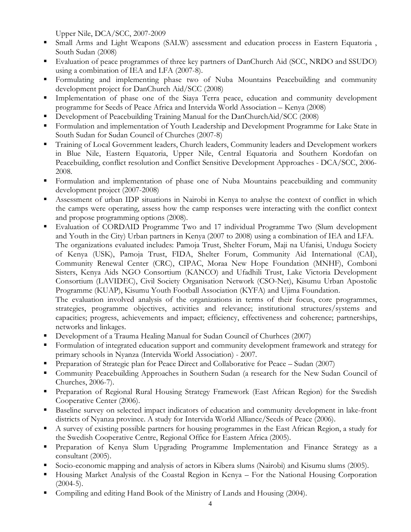Upper Nile, DCA/SCC, 2007-2009

- ß Small Arms and Light Weapons (SALW) assessment and education process in Eastern Equatoria , South Sudan (2008)
- ß Evaluation of peace programmes of three key partners of DanChurch Aid (SCC, NRDO and SSUDO) using a combination of IEA and LFA (2007-8).
- ß Formulating and implementing phase two of Nuba Mountains Peacebuilding and community development project for DanChurch Aid/SCC (2008)
- Implementation of phase one of the Siaya Terra peace, education and community development programme for Seeds of Peace Africa and Intervida World Association – Kenya (2008)
- ß Development of Peacebuilding Training Manual for the DanChurchAid/SCC (2008)
- **Formulation and implementation of Youth Leadership and Development Programme for Lake State in** South Sudan for Sudan Council of Churches (2007-8)
- ß Training of Local Government leaders, Church leaders, Community leaders and Development workers in Blue Nile, Eastern Equatoria, Upper Nile, Central Equatoria and Southern Kordofan on Peacebuilding, conflict resolution and Conflict Sensitive Development Approaches - DCA/SCC, 2006- 2008.
- **Formulation and implementation of phase one of Nuba Mountains peacebuilding and community** development project (2007-2008)
- ß Assessment of urban IDP situations in Nairobi in Kenya to analyse the context of conflict in which the camps were operating, assess how the camp responses were interacting with the conflict context and propose programming options (2008).
- ß Evaluation of CORDAID Programme Two and 17 individual Programme Two (Slum development and Youth in the City) Urban partners in Kenya (2007 to 2008) using a combination of IEA and LFA. The organizations evaluated includes: Pamoja Trust, Shelter Forum, Maji na Ufanisi, Undugu Society of Kenya (USK), Pamoja Trust, FIDA, Shelter Forum, Community Aid International (CAI), Community Renewal Center (CRC), CIPAC, Moraa New Hope Foundation (MNHF), Comboni Sisters, Kenya Aids NGO Consortium (KANCO) and Ufadhili Trust, Lake Victoria Development Consortium (LAVIDEC), Civil Society Organisation Network (CSO-Net), Kisumu Urban Apostolic Programme (KUAP), Kisumu Youth Football Association (KYFA) and Ujima Foundation.

The evaluation involved analysis of the organizations in terms of their focus, core programmes, strategies, programme objectives, activities and relevance; institutional structures/systems and capacities; progress, achievements and impact; efficiency, effectiveness and coherence; partnerships, networks and linkages.

- ß Development of a Trauma Healing Manual for Sudan Council of Churhces (2007)
- ß Formulation of integrated education support and community development framework and strategy for primary schools in Nyanza (Intervida World Association) - 2007.
- ß Preparation of Strategic plan for Peace Direct and Collaborative for Peace Sudan (2007)
- **Community Peacebuilding Approaches in Southern Sudan (a research for the New Sudan Council of** Churches, 2006-7).
- ß Preparation of Regional Rural Housing Strategy Framework (East African Region) for the Swedish Cooperative Center (2006).
- ß Baseline survey on selected impact indicators of education and community development in lake-front districts of Nyanza province. A study for Intervida World Alliance/Seeds of Peace (2006).
- ß A survey of existing possible partners for housing programmes in the East African Region, a study for the Swedish Cooperative Centre, Regional Office for Eastern Africa (2005).
- **•** Preparation of Kenya Slum Upgrading Programme Implementation and Finance Strategy as a consultant (2005).
- ß Socio-economic mapping and analysis of actors in Kibera slums (Nairobi) and Kisumu slums (2005).
- ß Housing Market Analysis of the Coastal Region in Kenya For the National Housing Corporation  $(2004-5)$ .
- Compiling and editing Hand Book of the Ministry of Lands and Housing (2004).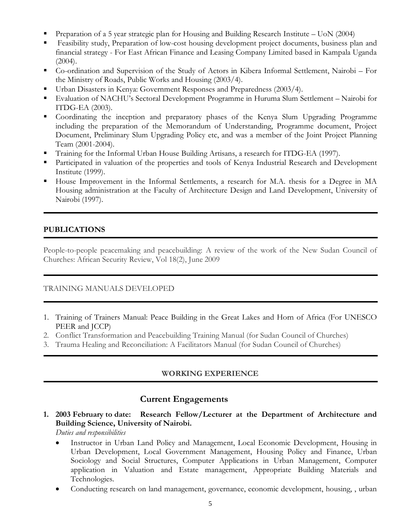- ß Preparation of a 5 year strategic plan for Housing and Building Research Institute UoN (2004)
- ß Feasibility study, Preparation of low-cost housing development project documents, business plan and financial strategy - For East African Finance and Leasing Company Limited based in Kampala Uganda  $(2004).$
- ß Co-ordination and Supervision of the Study of Actors in Kibera Informal Settlement, Nairobi For the Ministry of Roads, Public Works and Housing (2003/4).
- ß Urban Disasters in Kenya: Government Responses and Preparedness (2003/4).
- ß Evaluation of NACHU's Sectoral Development Programme in Huruma Slum Settlement Nairobi for ITDG-EA (2003).
- Coordinating the inception and preparatory phases of the Kenya Slum Upgrading Programme including the preparation of the Memorandum of Understanding, Programme document, Project Document, Preliminary Slum Upgrading Policy etc, and was a member of the Joint Project Planning Team (2001-2004).
- ß Training for the Informal Urban House Building Artisans, a research for ITDG-EA (1997).
- **Participated in valuation of the properties and tools of Kenya Industrial Research and Development** Institute (1999).
- ß House Improvement in the Informal Settlements, a research for M.A. thesis for a Degree in MA Housing administration at the Faculty of Architecture Design and Land Development, University of Nairobi (1997).

### **PUBLICATIONS**

People-to-people peacemaking and peacebuilding: A review of the work of the New Sudan Council of Churches: African Security Review, Vol 18(2), June 2009

#### TRAINING MANUALS DEVELOPED

- 1. Training of Trainers Manual: Peace Building in the Great Lakes and Horn of Africa (For UNESCO PEER and JCCP)
- 2. Conflict Transformation and Peacebuilding Training Manual (for Sudan Council of Churches)
- 3. Trauma Healing and Reconciliation: A Facilitators Manual (for Sudan Council of Churches)

## **WORKING EXPERIENCE**

## **Current Engagements**

**1. 2003 February to date: Research Fellow/Lecturer at the Department of Architecture and Building Science, University of Nairobi.**

*Duties and responsibilities*

- Instructor in Urban Land Policy and Management, Local Economic Development, Housing in Urban Development, Local Government Management, Housing Policy and Finance, Urban Sociology and Social Structures, Computer Applications in Urban Management, Computer application in Valuation and Estate management, Appropriate Building Materials and Technologies.
- Conducting research on land management, governance, economic development, housing, , urban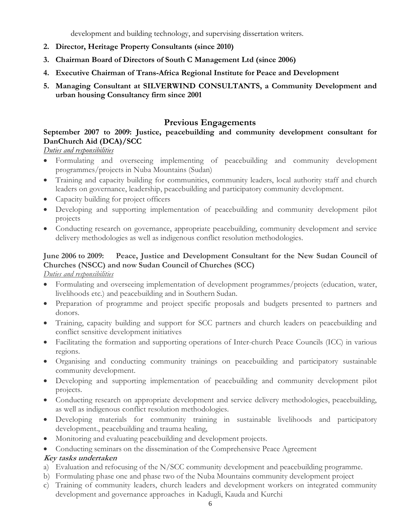development and building technology, and supervising dissertation writers.

- **2. Director, Heritage Property Consultants (since 2010)**
- **3. Chairman Board of Directors of South C Management Ltd (since 2006)**
- **4. Executive Chairman of Trans-Africa Regional Institute for Peace and Development**
- **5. Managing Consultant at SILVERWIND CONSULTANTS, a Community Development and urban housing Consultancy firm since 2001**

# **Previous Engagements**

# **September 2007 to 2009: Justice, peacebuilding and community development consultant for DanChurch Aid (DCA)/SCC**

## *Duties and responsibilities*

- · Formulating and overseeing implementing of peacebuilding and community development programmes/projects in Nuba Mountains (Sudan)
- · Training and capacity building for communities, community leaders, local authority staff and church leaders on governance, leadership, peacebuilding and participatory community development.
- · Capacity building for project officers
- · Developing and supporting implementation of peacebuilding and community development pilot projects
- · Conducting research on governance, appropriate peacebuilding, community development and service delivery methodologies as well as indigenous conflict resolution methodologies.

# **June 2006 to 2009: Peace, Justice and Development Consultant for the New Sudan Council of Churches (NSCC) and now Sudan Council of Churches (SCC)**

*Duties and responsibilities*

- · Formulating and overseeing implementation of development programmes/projects (education, water, livelihoods etc.) and peacebuilding and in Southern Sudan.
- · Preparation of programme and project specific proposals and budgets presented to partners and donors.
- · Training, capacity building and support for SCC partners and church leaders on peacebuilding and conflict sensitive development initiatives
- · Facilitating the formation and supporting operations of Inter-church Peace Councils (ICC) in various regions.
- · Organising and conducting community trainings on peacebuilding and participatory sustainable community development.
- · Developing and supporting implementation of peacebuilding and community development pilot projects.
- · Conducting research on appropriate development and service delivery methodologies, peacebuilding, as well as indigenous conflict resolution methodologies.
- · Developing materials for community training in sustainable livelihoods and participatory development., peacebuilding and trauma healing,
- · Monitoring and evaluating peacebuilding and development projects.
- · Conducting seminars on the dissemination of the Comprehensive Peace Agreement

# **Key tasks undertaken**

- a) Evaluation and refocusing of the N/SCC community development and peacebuilding programme.
- b) Formulating phase one and phase two of the Nuba Mountains community development project
- c) Training of community leaders, church leaders and development workers on integrated community development and governance approaches in Kadugli, Kauda and Kurchi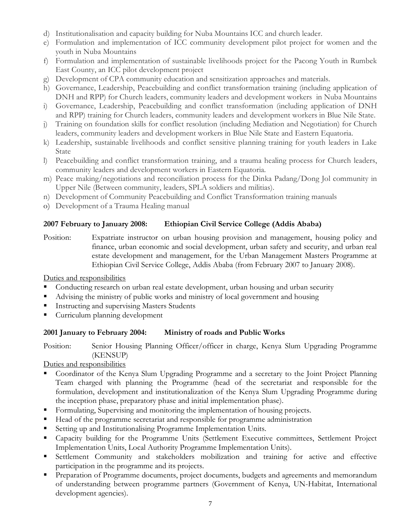- d) Institutionalisation and capacity building for Nuba Mountains ICC and church leader.
- e) Formulation and implementation of ICC community development pilot project for women and the youth in Nuba Mountains
- f) Formulation and implementation of sustainable livelihoods project for the Pacong Youth in Rumbek East County, an ICC pilot development project
- g) Development of CPA community education and sensitization approaches and materials.
- h) Governance, Leadership, Peacebuilding and conflict transformation training (including application of DNH and RPP) for Church leaders, community leaders and development workers in Nuba Mountains
- i) Governance, Leadership, Peacebuilding and conflict transformation (including application of DNH and RPP) training for Church leaders, community leaders and development workers in Blue Nile State.
- j) Training on foundation skills for conflict resolution (including Mediation and Negotiation) for Church leaders, community leaders and development workers in Blue Nile State and Eastern Equatoria.
- k) Leadership, sustainable livelihoods and conflict sensitive planning training for youth leaders in Lake State
- l) Peacebuilding and conflict transformation training, and a trauma healing process for Church leaders, community leaders and development workers in Eastern Equatoria.
- m) Peace making/negotiations and reconciliation process for the Dinka Padang/Dong Jol community in Upper Nile (Between community, leaders, SPLA soldiers and militias).
- n) Development of Community Peacebuilding and Conflict Transformation training manuals
- o) Development of a Trauma Healing manual

# **2007 February to January 2008: Ethiopian Civil Service College (Addis Ababa)**

Position: Expatriate instructor on urban housing provision and management, housing policy and finance, urban economic and social development, urban safety and security, and urban real estate development and management, for the Urban Management Masters Programme at Ethiopian Civil Service College, Addis Ababa (from February 2007 to January 2008).

Duties and responsibilities

- ß Conducting research on urban real estate development, urban housing and urban security
- ß Advising the ministry of public works and ministry of local government and housing
- **Instructing and supervising Masters Students**
- ß Curriculum planning development

## **2001 January to February 2004: Ministry of roads and Public Works**

Position: Senior Housing Planning Officer/officer in charge, Kenya Slum Upgrading Programme (KENSUP)

Duties and responsibilities

- ß Coordinator of the Kenya Slum Upgrading Programme and a secretary to the Joint Project Planning Team charged with planning the Programme (head of the secretariat and responsible for the formulation, development and institutionalization of the Kenya Slum Upgrading Programme during the inception phase, preparatory phase and initial implementation phase).
- ß Formulating, Supervising and monitoring the implementation of housing projects.
- ß Head of the programme secretariat and responsible for programme administration
- ß Setting up and Institutionalising Programme Implementation Units.
- **Executive Capacity building for the Programme Units (Settlement Executive committees, Settlement Project** Implementation Units, Local Authority Programme Implementation Units).
- ß Settlement Community and stakeholders mobilization and training for active and effective participation in the programme and its projects.
- ß Preparation of Programme documents, project documents, budgets and agreements and memorandum of understanding between programme partners (Government of Kenya, UN-Habitat, International development agencies).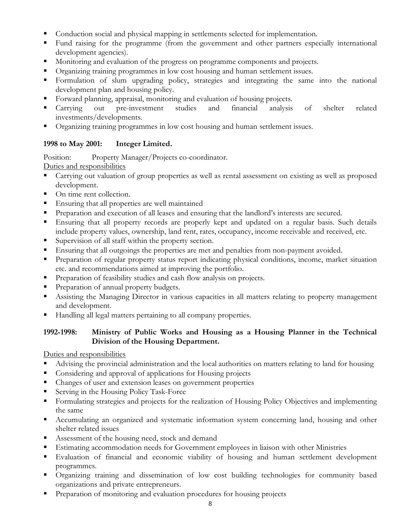- ß Conduction social and physical mapping in settlements selected for implementation.
- Fund raising for the programme (from the government and other partners especially international development agencies).
- Monitoring and evaluation of the progress on programme components and projects.
- ß Organizing training programmes in low cost housing and human settlement issues.
- ß Formulation of slum upgrading policy, strategies and integrating the same into the national development plan and housing policy.
- ß Forward planning, appraisal, monitoring and evaluation of housing projects.
- ß Carrying out pre-investment studies and financial analysis of shelter related investments/developments.
- ß Organizing training programmes in low cost housing and human settlement issues.

## **1998 to May 2001: Integer Limited.**

Position: Property Manager/Projects co-coordinator.

Duties and responsibilities

- ß Carrying out valuation of group properties as well as rental assessment on existing as well as proposed development.
- On time rent collection.
- **Ensuring that all properties are well maintained**
- ß Preparation and execution of all leases and ensuring that the landlord's interests are secured.
- ß Ensuring that all property records are properly kept and updated on a regular basis. Such details include property values, ownership, land rent, rates, occupancy, income receivable and received, etc.
- Supervision of all staff within the property section.
- **Ensuring that all outgoings the properties are met and penalties from non-payment avoided.**
- **Preparation of regular property status report indicating physical conditions, income, market situation** etc. and recommendations aimed at improving the portfolio.
- **•** Preparation of feasibility studies and cash flow analysis on projects.
- Preparation of annual property budgets.
- ß Assisting the Managing Director in various capacities in all matters relating to property management and development.
- ß Handling all legal matters pertaining to all company properties.

## **1992-1998: Ministry of Public Works and Housing as a Housing Planner in the Technical Division of the Housing Department.**

Duties and responsibilities

- ß Advising the provincial administration and the local authorities on matters relating to land for housing
- **•** Considering and approval of applications for Housing projects
- Changes of user and extension leases on government properties
- ß Serving in the Housing Policy Task-Force
- **Formulating strategies and projects for the realization of Housing Policy Objectives and implementing** the same
- **•** Accumulating an organized and systematic information system concerning land, housing and other shelter related issues
- ß Assessment of the housing need, stock and demand
- ß Estimating accommodation needs for Government employees in liaison with other Ministries
- ß Evaluation of financial and economic viability of housing and human settlement development programmes.
- ß Organizing training and dissemination of low cost building technologies for community based organizations and private entrepreneurs.
- Preparation of monitoring and evaluation procedures for housing projects